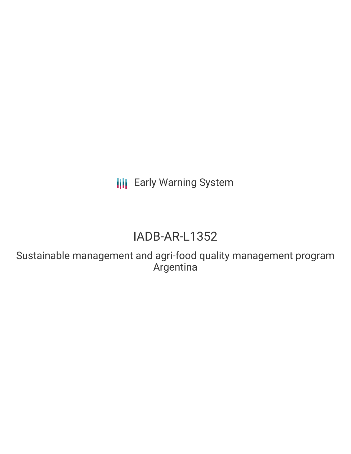**III** Early Warning System

# IADB-AR-L1352

Sustainable management and agri-food quality management program Argentina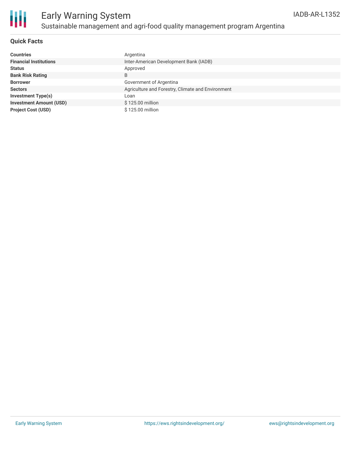

### **Quick Facts**

| <b>Countries</b>               | Argentina                                         |
|--------------------------------|---------------------------------------------------|
| <b>Financial Institutions</b>  | Inter-American Development Bank (IADB)            |
| <b>Status</b>                  | Approved                                          |
| <b>Bank Risk Rating</b>        | B                                                 |
| <b>Borrower</b>                | Government of Argentina                           |
| <b>Sectors</b>                 | Agriculture and Forestry, Climate and Environment |
| <b>Investment Type(s)</b>      | Loan                                              |
| <b>Investment Amount (USD)</b> | \$125.00 million                                  |
| <b>Project Cost (USD)</b>      | \$125.00 million                                  |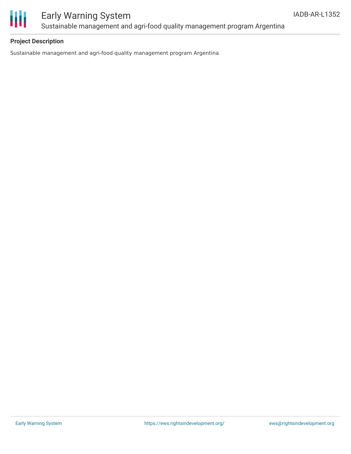

## Early Warning System Sustainable management and agri-food quality management program Argentina

### **Project Description**

Sustainable management and agri-food quality management program Argentina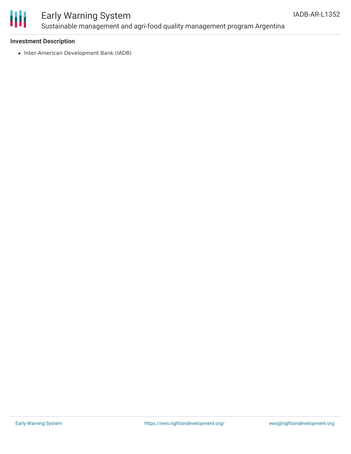

## Early Warning System Sustainable management and agri-food quality management program Argentina

### **Investment Description**

• Inter-American Development Bank (IADB)